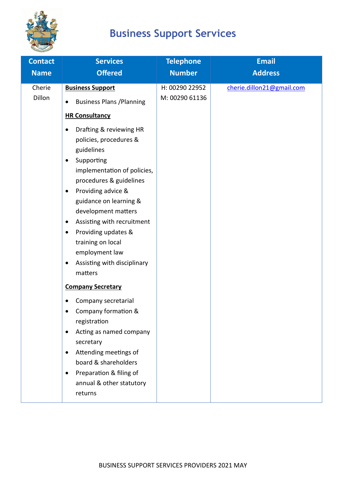

## **Business Support Services**

| <b>Contact</b>   | <b>Services</b>                                                                                                                                                                                                                                                             | <b>Telephone</b>                 | <b>Email</b>              |
|------------------|-----------------------------------------------------------------------------------------------------------------------------------------------------------------------------------------------------------------------------------------------------------------------------|----------------------------------|---------------------------|
| <b>Name</b>      | <b>Offered</b>                                                                                                                                                                                                                                                              | <b>Number</b>                    | <b>Address</b>            |
| Cherie<br>Dillon | <b>Business Support</b><br><b>Business Plans / Planning</b><br><b>HR Consultancy</b><br>Drafting & reviewing HR                                                                                                                                                             | H: 00290 22952<br>M: 00290 61136 | cherie.dillon21@gmail.com |
|                  | policies, procedures &<br>guidelines<br>Supporting<br>٠<br>implementation of policies,<br>procedures & guidelines<br>Providing advice &<br>٠                                                                                                                                |                                  |                           |
|                  | guidance on learning &<br>development matters<br>Assisting with recruitment<br>٠<br>Providing updates &<br>٠<br>training on local<br>employment law<br>Assisting with disciplinary<br>$\bullet$<br>matters                                                                  |                                  |                           |
|                  | <b>Company Secretary</b><br>Company secretarial<br>Company formation &<br>registration<br>Acting as named company<br>$\bullet$<br>secretary<br>Attending meetings of<br>$\bullet$<br>board & shareholders<br>Preparation & filing of<br>annual & other statutory<br>returns |                                  |                           |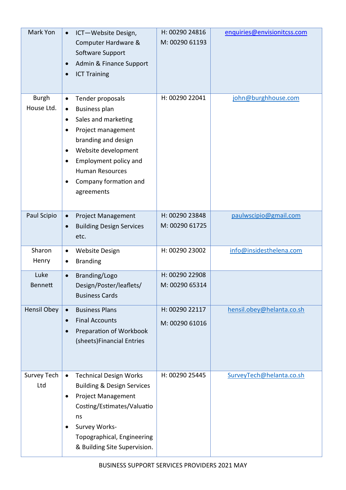| Mark Yon                   | ICT-Website Design,<br>$\bullet$<br>Computer Hardware &<br>Software Support<br>Admin & Finance Support<br>$\bullet$<br><b>ICT Training</b><br>$\bullet$                                                                                                                                                  | H: 00290 24816<br>M: 00290 61193 | enquiries@envisionitcss.com |
|----------------------------|----------------------------------------------------------------------------------------------------------------------------------------------------------------------------------------------------------------------------------------------------------------------------------------------------------|----------------------------------|-----------------------------|
| <b>Burgh</b><br>House Ltd. | Tender proposals<br>$\bullet$<br><b>Business plan</b><br>$\bullet$<br>Sales and marketing<br>$\bullet$<br>Project management<br>$\bullet$<br>branding and design<br>Website development<br>٠<br>Employment policy and<br>$\bullet$<br><b>Human Resources</b><br>Company formation and<br>٠<br>agreements | H: 00290 22041                   | john@burghhouse.com         |
| Paul Scipio                | <b>Project Management</b><br>$\bullet$<br><b>Building Design Services</b><br>$\bullet$<br>etc.                                                                                                                                                                                                           | H: 00290 23848<br>M: 00290 61725 | paulwscipio@gmail.com       |
| Sharon<br>Henry            | <b>Website Design</b><br>$\bullet$<br><b>Branding</b><br>٠                                                                                                                                                                                                                                               | H: 00290 23002                   | info@insidesthelena.com     |
| Luke<br><b>Bennett</b>     | Branding/Logo<br>$\bullet$<br>Design/Poster/leaflets/<br><b>Business Cards</b>                                                                                                                                                                                                                           | H: 00290 22908<br>M: 00290 65314 |                             |
| <b>Hensil Obey</b>         | <b>Business Plans</b><br>$\bullet$<br><b>Final Accounts</b><br>$\bullet$<br>Preparation of Workbook<br>$\bullet$<br>(sheets)Financial Entries                                                                                                                                                            | H: 00290 22117<br>M: 00290 61016 | hensil.obey@helanta.co.sh   |
| Survey Tech<br>Ltd         | <b>Technical Design Works</b><br>$\bullet$<br><b>Building &amp; Design Services</b><br><b>Project Management</b><br>$\bullet$<br>Costing/Estimates/Valuatio<br>ns<br>Survey Works-<br>$\bullet$<br>Topographical, Engineering<br>& Building Site Supervision.                                            | H: 00290 25445                   | SurveyTech@helanta.co.sh    |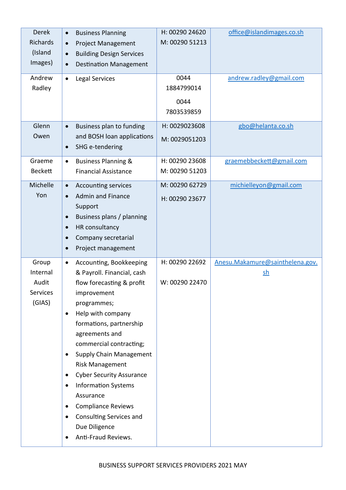| <b>Derek</b>    | <b>Business Planning</b><br>$\bullet$        | H: 00290 24620 | office@islandimages.co.sh       |
|-----------------|----------------------------------------------|----------------|---------------------------------|
| Richards        | <b>Project Management</b><br>$\bullet$       | M: 00290 51213 |                                 |
| (Island         | <b>Building Design Services</b><br>$\bullet$ |                |                                 |
| Images)         | <b>Destination Management</b><br>$\bullet$   |                |                                 |
| Andrew          | <b>Legal Services</b><br>$\bullet$           | 0044           | andrew.radley@gmail.com         |
| Radley          |                                              | 1884799014     |                                 |
|                 |                                              | 0044           |                                 |
|                 |                                              | 7803539859     |                                 |
|                 |                                              |                |                                 |
| Glenn           | Business plan to funding<br>$\bullet$        | H: 0029023608  | gbo@helanta.co.sh               |
| Owen            | and BOSH loan applications                   | M: 0029051203  |                                 |
|                 | SHG e-tendering<br>$\bullet$                 |                |                                 |
| Graeme          | <b>Business Planning &amp;</b><br>$\bullet$  | H: 00290 23608 | graemebbeckett@gmail.com        |
| <b>Beckett</b>  | <b>Financial Assistance</b>                  | M: 00290 51203 |                                 |
| Michelle        | <b>Accounting services</b><br>$\bullet$      | M: 00290 62729 | michielleyon@gmail.com          |
| Yon             | <b>Admin and Finance</b><br>$\bullet$        | H: 00290 23677 |                                 |
|                 | Support                                      |                |                                 |
|                 | Business plans / planning<br>$\bullet$       |                |                                 |
|                 | HR consultancy<br>$\bullet$                  |                |                                 |
|                 | Company secretarial<br>$\bullet$             |                |                                 |
|                 | Project management<br>$\bullet$              |                |                                 |
| Group           | Accounting, Bookkeeping<br>$\bullet$         | H: 00290 22692 | Anesu.Makamure@sainthelena.gov. |
| Internal        | & Payroll. Financial, cash                   |                | $\mathsf{sh}$                   |
| Audit           | flow forecasting & profit                    | W: 00290 22470 |                                 |
| <b>Services</b> | improvement                                  |                |                                 |
| (GIAS)          | programmes;                                  |                |                                 |
|                 | Help with company<br>$\bullet$               |                |                                 |
|                 | formations, partnership                      |                |                                 |
|                 | agreements and                               |                |                                 |
|                 | commercial contracting;                      |                |                                 |
|                 | Supply Chain Management<br>$\bullet$         |                |                                 |
|                 | <b>Risk Management</b>                       |                |                                 |
|                 | <b>Cyber Security Assurance</b><br>$\bullet$ |                |                                 |
|                 | <b>Information Systems</b><br>$\bullet$      |                |                                 |
|                 | Assurance                                    |                |                                 |
|                 | <b>Compliance Reviews</b><br>$\bullet$       |                |                                 |
|                 | <b>Consulting Services and</b><br>$\bullet$  |                |                                 |
|                 | Due Diligence                                |                |                                 |
|                 | Anti-Fraud Reviews.<br>$\bullet$             |                |                                 |